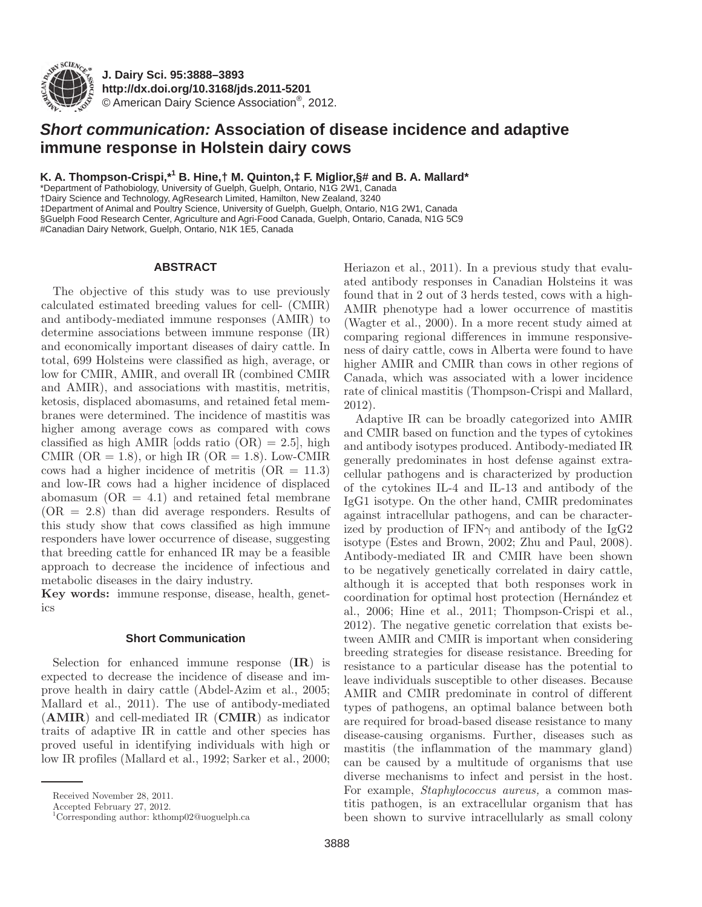

**J. Dairy Sci. 95 :3888–3893 http://dx.doi.org/ 10.3168/jds.2011-5201**  © American Dairy Science Association®, 2012 .

# *Short communication:* **Association of disease incidence and adaptive immune response in Holstein dairy cows**

K. A. Thompson-Crispi,\*<sup>1</sup> B. Hine,† M. Quinton,‡ F. Miglior,§# and B. A. Mallard\*

 \* Department of Pathobiology, University of Guelph, Guelph, Ontario, N1G 2W1, Canada † Dairy Science and Technology, AgResearch Limited, Hamilton, New Zealand, 3240 ‡ Department of Animal and Poultry Science, University of Guelph, Guelph, Ontario, N1G 2W1, Canada § Guelph Food Research Center, Agriculture and Agri-Food Canada, Guelph, Ontario, Canada, N1G 5C9 #Canadian Dairy Network, Guelph, Ontario, N1K 1E5, Canada

## **ABSTRACT**

The objective of this study was to use previously calculated estimated breeding values for cell- (CMIR) and antibody-mediated immune responses (AMIR) to determine associations between immune response (IR) and economically important diseases of dairy cattle. In total, 699 Holsteins were classified as high, average, or low for CMIR, AMIR, and overall IR (combined CMIR and AMIR), and associations with mastitis, metritis, ketosis, displaced abomasums, and retained fetal membranes were determined. The incidence of mastitis was higher among average cows as compared with cows classified as high AMIR [odds ratio  $(OR) = 2.5$ ], high CMIR ( $OR = 1.8$ ), or high IR ( $OR = 1.8$ ). Low-CMIR cows had a higher incidence of metritis  $(OR = 11.3)$ and low-IR cows had a higher incidence of displaced abomasum  $(OR = 4.1)$  and retained fetal membrane  $(OR = 2.8)$  than did average responders. Results of this study show that cows classified as high immune responders have lower occurrence of disease, suggesting that breeding cattle for enhanced IR may be a feasible approach to decrease the incidence of infectious and metabolic diseases in the dairy industry.

**Key words:** immune response, disease, health, genetics

### **Short Communication**

Selection for enhanced immune response (**IR**) is expected to decrease the incidence of disease and improve health in dairy cattle (Abdel-Azim et al., 2005; Mallard et al., 2011). The use of antibody-mediated (**AMIR**) and cell-mediated IR (**CMIR**) as indicator traits of adaptive IR in cattle and other species has proved useful in identifying individuals with high or low IR profiles (Mallard et al., 1992; Sarker et al., 2000; Heriazon et al., 2011). In a previous study that evaluated antibody responses in Canadian Holsteins it was found that in 2 out of 3 herds tested, cows with a high-AMIR phenotype had a lower occurrence of mastitis (Wagter et al., 2000). In a more recent study aimed at comparing regional differences in immune responsiveness of dairy cattle, cows in Alberta were found to have higher AMIR and CMIR than cows in other regions of Canada, which was associated with a lower incidence rate of clinical mastitis (Thompson-Crispi and Mallard, 2012).

Adaptive IR can be broadly categorized into AMIR and CMIR based on function and the types of cytokines and antibody isotypes produced. Antibody-mediated IR generally predominates in host defense against extracellular pathogens and is characterized by production of the cytokines IL-4 and IL-13 and antibody of the IgG1 isotype. On the other hand, CMIR predominates against intracellular pathogens, and can be characterized by production of IFN $\gamma$  and antibody of the IgG2 isotype (Estes and Brown, 2002; Zhu and Paul, 2008). Antibody-mediated IR and CMIR have been shown to be negatively genetically correlated in dairy cattle, although it is accepted that both responses work in coordination for optimal host protection (Hernández et al., 2006; Hine et al., 2011; Thompson-Crispi et al., 2012). The negative genetic correlation that exists between AMIR and CMIR is important when considering breeding strategies for disease resistance. Breeding for resistance to a particular disease has the potential to leave individuals susceptible to other diseases. Because AMIR and CMIR predominate in control of different types of pathogens, an optimal balance between both are required for broad-based disease resistance to many disease-causing organisms. Further, diseases such as mastitis (the inflammation of the mammary gland) can be caused by a multitude of organisms that use diverse mechanisms to infect and persist in the host. For example, *Staphylococcus aureus,* a common mastitis pathogen, is an extracellular organism that has been shown to survive intracellularly as small colony

Received November 28, 2011.

Accepted February 27, 2012.

 <sup>1</sup> Corresponding author: kthomp02@uoguelph.ca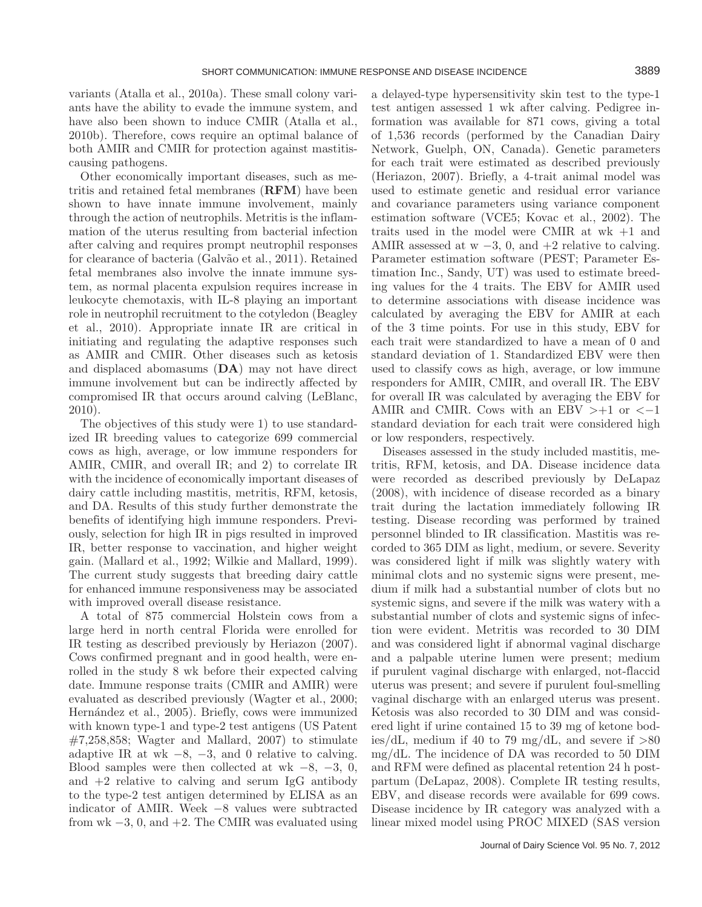variants (Atalla et al., 2010a). These small colony variants have the ability to evade the immune system, and have also been shown to induce CMIR (Atalla et al., 2010b). Therefore, cows require an optimal balance of both AMIR and CMIR for protection against mastitiscausing pathogens.

Other economically important diseases, such as metritis and retained fetal membranes (**RFM**) have been shown to have innate immune involvement, mainly through the action of neutrophils. Metritis is the inflammation of the uterus resulting from bacterial infection after calving and requires prompt neutrophil responses for clearance of bacteria (Galvão et al., 2011). Retained fetal membranes also involve the innate immune system, as normal placenta expulsion requires increase in leukocyte chemotaxis, with IL-8 playing an important role in neutrophil recruitment to the cotyledon (Beagley et al., 2010). Appropriate innate IR are critical in initiating and regulating the adaptive responses such as AMIR and CMIR. Other diseases such as ketosis and displaced abomasums (**DA**) may not have direct immune involvement but can be indirectly affected by compromised IR that occurs around calving (LeBlanc, 2010).

The objectives of this study were 1) to use standardized IR breeding values to categorize 699 commercial cows as high, average, or low immune responders for AMIR, CMIR, and overall IR; and 2) to correlate IR with the incidence of economically important diseases of dairy cattle including mastitis, metritis, RFM, ketosis, and DA. Results of this study further demonstrate the benefits of identifying high immune responders. Previously, selection for high IR in pigs resulted in improved IR, better response to vaccination, and higher weight gain. (Mallard et al., 1992; Wilkie and Mallard, 1999). The current study suggests that breeding dairy cattle for enhanced immune responsiveness may be associated with improved overall disease resistance.

A total of 875 commercial Holstein cows from a large herd in north central Florida were enrolled for IR testing as described previously by Heriazon (2007). Cows confirmed pregnant and in good health, were enrolled in the study 8 wk before their expected calving date. Immune response traits (CMIR and AMIR) were evaluated as described previously (Wagter et al., 2000; Hernández et al., 2005). Briefly, cows were immunized with known type-1 and type-2 test antigens (US Patent  $\#7,258,858$ ; Wagter and Mallard, 2007) to stimulate adaptive IR at wk  $-8$ ,  $-3$ , and 0 relative to calving. Blood samples were then collected at wk  $-8$ ,  $-3$ , 0, and  $+2$  relative to calving and serum IgG antibody to the type-2 test antigen determined by ELISA as an indicator of AMIR. Week −8 values were subtracted from wk  $-3$ , 0, and  $+2$ . The CMIR was evaluated using a delayed-type hypersensitivity skin test to the type-1 test antigen assessed 1 wk after calving. Pedigree information was available for 871 cows, giving a total of 1,536 records (performed by the Canadian Dairy Network, Guelph, ON, Canada). Genetic parameters for each trait were estimated as described previously (Heriazon, 2007). Briefly, a 4-trait animal model was used to estimate genetic and residual error variance and covariance parameters using variance component estimation software (VCE5; Kovac et al., 2002). The traits used in the model were CMIR at wk +1 and AMIR assessed at  $w - 3$ , 0, and  $+2$  relative to calving. Parameter estimation software (PEST; Parameter Estimation Inc., Sandy, UT) was used to estimate breeding values for the 4 traits. The EBV for AMIR used to determine associations with disease incidence was calculated by averaging the EBV for AMIR at each of the 3 time points. For use in this study, EBV for each trait were standardized to have a mean of 0 and standard deviation of 1. Standardized EBV were then used to classify cows as high, average, or low immune responders for AMIR, CMIR, and overall IR. The EBV for overall IR was calculated by averaging the EBV for AMIR and CMIR. Cows with an EBV  $>+1$  or  $<-1$ standard deviation for each trait were considered high or low responders, respectively.

Diseases assessed in the study included mastitis, metritis, RFM, ketosis, and DA. Disease incidence data were recorded as described previously by DeLapaz (2008), with incidence of disease recorded as a binary trait during the lactation immediately following IR testing. Disease recording was performed by trained personnel blinded to IR classification. Mastitis was recorded to 365 DIM as light, medium, or severe. Severity was considered light if milk was slightly watery with minimal clots and no systemic signs were present, medium if milk had a substantial number of clots but no systemic signs, and severe if the milk was watery with a substantial number of clots and systemic signs of infection were evident. Metritis was recorded to 30 DIM and was considered light if abnormal vaginal discharge and a palpable uterine lumen were present; medium if purulent vaginal discharge with enlarged, not-flaccid uterus was present; and severe if purulent foul-smelling vaginal discharge with an enlarged uterus was present. Ketosis was also recorded to 30 DIM and was considered light if urine contained 15 to 39 mg of ketone bodies/dL, medium if 40 to 79 mg/dL, and severe if  $>80$ mg/dL. The incidence of DA was recorded to 50 DIM and RFM were defined as placental retention 24 h postpartum (DeLapaz, 2008). Complete IR testing results, EBV, and disease records were available for 699 cows. Disease incidence by IR category was analyzed with a linear mixed model using PROC MIXED (SAS version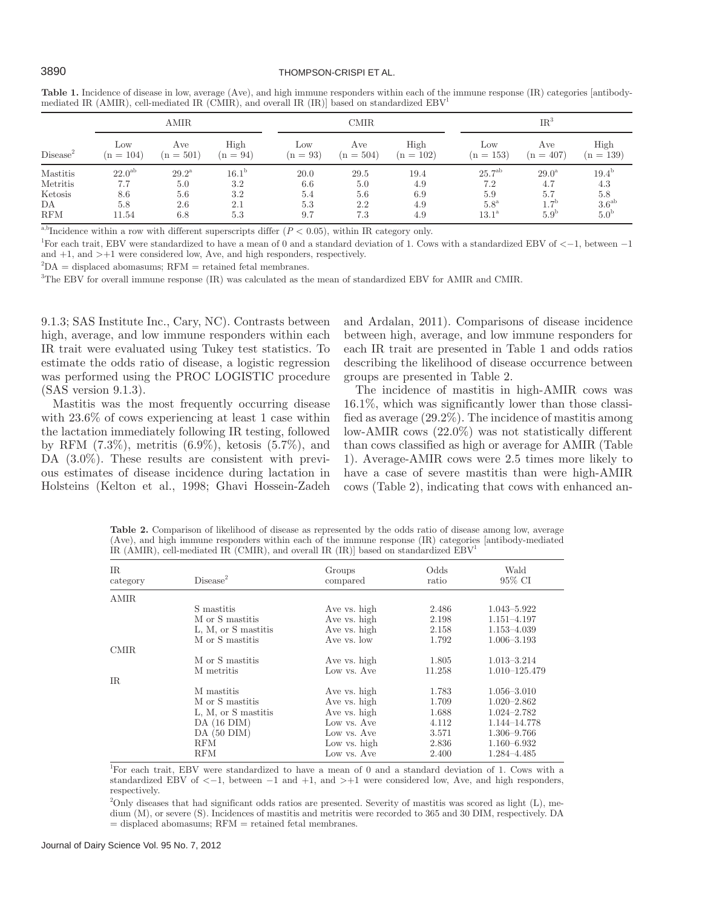### 3890 THOMPSON-CRISPI ET AL.

|                      | AMIR.       |                |                   | <b>CMIR</b> |             |             | $IR^3$             |                  |                  |
|----------------------|-------------|----------------|-------------------|-------------|-------------|-------------|--------------------|------------------|------------------|
| Disease <sup>2</sup> | Low         | Ave            | High              | Low         | Ave         | High        | $_{\text{Low}}$    | Ave              | High             |
|                      | $(n = 104)$ | $(n = 501)$    | $(n = 94)$        | $(n = 93)$  | $(n = 504)$ | $(n = 102)$ | $(n = 153)$        | $(n = 407)$      | $(n = 139)$      |
| <b>Mastitis</b>      | $22.0^{ab}$ | $29.2^{\rm a}$ | 16.1 <sup>b</sup> | 20.0        | 29.5        | 19.4        | 25.7 <sup>ab</sup> | $29.0^{\rm a}$   | $19.4^{b}$       |
| Metritis             | 7.7         | 5.0            | 3.2               | 6.6         | 5.0         | 4.9         | 7.2                | 4.7              | 4.3              |
| Ketosis              | 8.6         | 5.6            | 3.2               | 5.4         | 5.6         | 6.9         | 5.9                | 5.7              | 5.8              |
| DA                   | 5.8         | 2.6            | 2.1               | 5.3         | 2.2         | 4.9         | $5.8^{\mathrm{a}}$ | 1.7 <sup>b</sup> | $3.6^{ab}$       |
| <b>RFM</b>           | 11.54       | 6.8            | 5.3               | 9.7         | 7.3         | 4.9         | $13.1^{\rm a}$     | 5.9 <sup>b</sup> | 5.0 <sup>b</sup> |

**Table 1.** Incidence of disease in low, average (Ave), and high immune responders within each of the immune response (IR) categories [antibodymediated IR (AMIR), cell-mediated IR (CMIR), and overall IR (IR)] based on standardized  $EBV<sup>1</sup>$ 

<sup>a,b</sup>Incidence within a row with different superscripts differ  $(P < 0.05)$ , within IR category only.

1 For each trait, EBV were standardized to have a mean of 0 and a standard deviation of 1. Cows with a standardized EBV of <−1, between −1 and  $+1$ , and  $\geq +1$  were considered low, Ave, and high responders, respectively.

 ${}^{2}DA$  = displaced abomasums; RFM = retained fetal membranes.

3 The EBV for overall immune response (IR) was calculated as the mean of standardized EBV for AMIR and CMIR.

9.1.3; SAS Institute Inc., Cary, NC). Contrasts between high, average, and low immune responders within each IR trait were evaluated using Tukey test statistics. To estimate the odds ratio of disease, a logistic regression was performed using the PROC LOGISTIC procedure (SAS version 9.1.3).

Mastitis was the most frequently occurring disease with  $23.6\%$  of cows experiencing at least 1 case within the lactation immediately following IR testing, followed by RFM (7.3%), metritis (6.9%), ketosis (5.7%), and DA  $(3.0\%)$ . These results are consistent with previous estimates of disease incidence during lactation in Holsteins (Kelton et al., 1998; Ghavi Hossein-Zadeh and Ardalan, 2011). Comparisons of disease incidence between high, average, and low immune responders for each IR trait are presented in Table 1 and odds ratios describing the likelihood of disease occurrence between groups are presented in Table 2.

The incidence of mastitis in high-AMIR cows was 16.1%, which was significantly lower than those classified as average (29.2%). The incidence of mastitis among low-AMIR cows (22.0%) was not statistically different than cows classified as high or average for AMIR (Table 1). Average-AMIR cows were 2.5 times more likely to have a case of severe mastitis than were high-AMIR cows (Table 2), indicating that cows with enhanced an-

**Table 2.** Comparison of likelihood of disease as represented by the odds ratio of disease among low, average (Ave), and high immune responders within each of the immune response (IR) categories [antibody-mediated IR (AMIR), cell-mediated IR (CMIR), and overall IR (IR)] based on standardized  $EBV$ <sup>1</sup>

| $_{\rm IR}$<br>category | Disease <sup>2</sup> | Groups<br>compared | Odds<br>ratio | Wald<br>95% CI  |
|-------------------------|----------------------|--------------------|---------------|-----------------|
| <b>AMIR</b>             |                      |                    |               |                 |
|                         | S mastitis           | Ave vs. high       | 2.486         | 1.043-5.922     |
|                         | M or S mastitis      | Ave vs. high       | 2.198         | $1.151 - 4.197$ |
|                         | L, M, or S mastitis  | Ave vs. high       | 2.158         | $1.153 - 4.039$ |
|                         | M or S mastitis      | Ave vs. low        | 1.792         | $1.006 - 3.193$ |
| <b>CMIR</b>             |                      |                    |               |                 |
|                         | M or S mastitis      | Ave vs. high       | 1.805         | $1.013 - 3.214$ |
|                         | M metritis           | Low vs. Ave        | 11.258        | 1.010-125.479   |
| IR                      |                      |                    |               |                 |
|                         | M mastitis           | Ave vs. high       | 1.783         | $1.056 - 3.010$ |
|                         | M or S mastitis      | Ave vs. high       | 1.709         | $1.020 - 2.862$ |
|                         | L, M, or S mastitis  | Ave vs. high       | 1.688         | $1.024 - 2.782$ |
|                         | $DA(16$ $DIM)$       | Low vs. Ave        | 4.112         | 1.144-14.778    |
|                         | $DA(50$ $DIM)$       | Low vs. Ave        | 3.571         | $1.306 - 9.766$ |
|                         | RFM                  | Low vs. high       | 2.836         | $1.160 - 6.932$ |
|                         | RFM                  | Low vs. Ave        | 2.400         | 1.284-4.485     |

1 For each trait, EBV were standardized to have a mean of 0 and a standard deviation of 1. Cows with a standardized EBV of  $\lt -1$ , between  $-1$  and  $+1$ , and  $\gt +1$  were considered low, Ave, and high responders, respectively.

<sup>2</sup>Only diseases that had significant odds ratios are presented. Severity of mastitis was scored as light (L), medium (M), or severe (S). Incidences of mastitis and metritis were recorded to 365 and 30 DIM, respectively. DA = displaced abomasums; RFM = retained fetal membranes.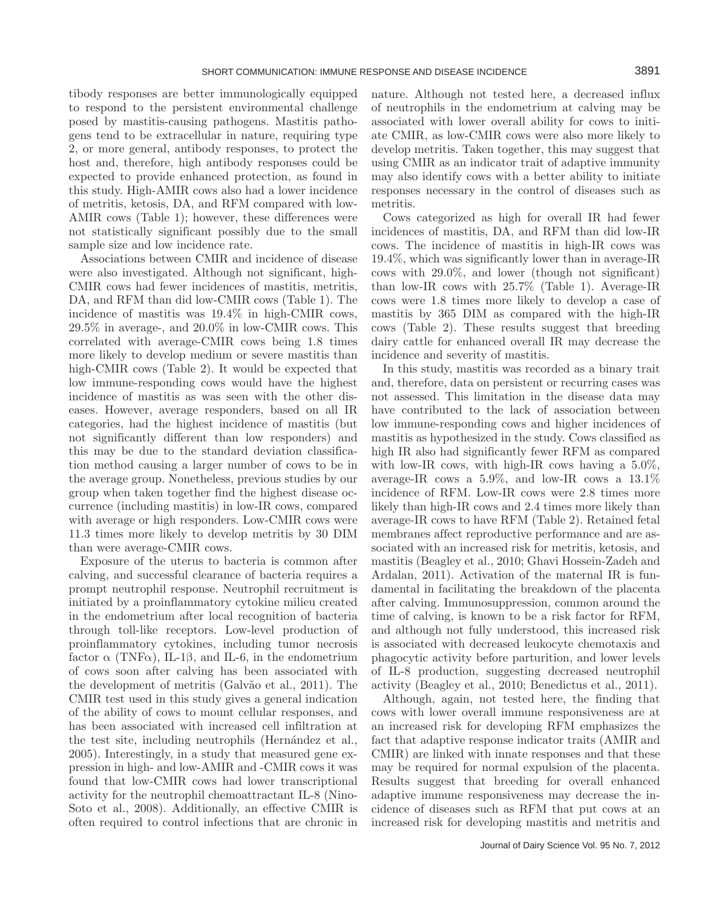tibody responses are better immunologically equipped to respond to the persistent environmental challenge posed by mastitis-causing pathogens. Mastitis pathogens tend to be extracellular in nature, requiring type 2, or more general, antibody responses, to protect the host and, therefore, high antibody responses could be expected to provide enhanced protection, as found in this study. High-AMIR cows also had a lower incidence of metritis, ketosis, DA, and RFM compared with low-AMIR cows (Table 1); however, these differences were not statistically significant possibly due to the small sample size and low incidence rate.

Associations between CMIR and incidence of disease were also investigated. Although not significant, high-CMIR cows had fewer incidences of mastitis, metritis, DA, and RFM than did low-CMIR cows (Table 1). The incidence of mastitis was 19.4% in high-CMIR cows, 29.5% in average-, and 20.0% in low-CMIR cows. This correlated with average-CMIR cows being 1.8 times more likely to develop medium or severe mastitis than high-CMIR cows (Table 2). It would be expected that low immune-responding cows would have the highest incidence of mastitis as was seen with the other diseases. However, average responders, based on all IR categories, had the highest incidence of mastitis (but not significantly different than low responders) and this may be due to the standard deviation classification method causing a larger number of cows to be in the average group. Nonetheless, previous studies by our group when taken together find the highest disease occurrence (including mastitis) in low-IR cows, compared with average or high responders. Low-CMIR cows were 11.3 times more likely to develop metritis by 30 DIM than were average-CMIR cows.

Exposure of the uterus to bacteria is common after calving, and successful clearance of bacteria requires a prompt neutrophil response. Neutrophil recruitment is initiated by a proinflammatory cytokine milieu created in the endometrium after local recognition of bacteria through toll-like receptors. Low-level production of proinflammatory cytokines, including tumor necrosis factor  $\alpha$  (TNF $\alpha$ ), IL-1 $\beta$ , and IL-6, in the endometrium of cows soon after calving has been associated with the development of metritis (Galvão et al., 2011). The CMIR test used in this study gives a general indication of the ability of cows to mount cellular responses, and has been associated with increased cell infiltration at the test site, including neutrophils (Hernández et al., 2005). Interestingly, in a study that measured gene expression in high- and low-AMIR and -CMIR cows it was found that low-CMIR cows had lower transcriptional activity for the neutrophil chemoattractant IL-8 (Nino-Soto et al., 2008). Additionally, an effective CMIR is often required to control infections that are chronic in nature. Although not tested here, a decreased influx of neutrophils in the endometrium at calving may be associated with lower overall ability for cows to initiate CMIR, as low-CMIR cows were also more likely to develop metritis. Taken together, this may suggest that using CMIR as an indicator trait of adaptive immunity may also identify cows with a better ability to initiate responses necessary in the control of diseases such as metritis.

Cows categorized as high for overall IR had fewer incidences of mastitis, DA, and RFM than did low-IR cows. The incidence of mastitis in high-IR cows was 19.4%, which was significantly lower than in average-IR cows with 29.0%, and lower (though not significant) than low-IR cows with 25.7% (Table 1). Average-IR cows were 1.8 times more likely to develop a case of mastitis by 365 DIM as compared with the high-IR cows (Table 2). These results suggest that breeding dairy cattle for enhanced overall IR may decrease the incidence and severity of mastitis.

In this study, mastitis was recorded as a binary trait and, therefore, data on persistent or recurring cases was not assessed. This limitation in the disease data may have contributed to the lack of association between low immune-responding cows and higher incidences of mastitis as hypothesized in the study. Cows classified as high IR also had significantly fewer RFM as compared with low-IR cows, with high-IR cows having a  $5.0\%$ , average-IR cows a 5.9%, and low-IR cows a 13.1% incidence of RFM. Low-IR cows were 2.8 times more likely than high-IR cows and 2.4 times more likely than average-IR cows to have RFM (Table 2). Retained fetal membranes affect reproductive performance and are associated with an increased risk for metritis, ketosis, and mastitis (Beagley et al., 2010; Ghavi Hossein-Zadeh and Ardalan, 2011). Activation of the maternal IR is fundamental in facilitating the breakdown of the placenta after calving. Immunosuppression, common around the time of calving, is known to be a risk factor for RFM, and although not fully understood, this increased risk is associated with decreased leukocyte chemotaxis and phagocytic activity before parturition, and lower levels of IL-8 production, suggesting decreased neutrophil activity (Beagley et al., 2010; Benedictus et al., 2011).

Although, again, not tested here, the finding that cows with lower overall immune responsiveness are at an increased risk for developing RFM emphasizes the fact that adaptive response indicator traits (AMIR and CMIR) are linked with innate responses and that these may be required for normal expulsion of the placenta. Results suggest that breeding for overall enhanced adaptive immune responsiveness may decrease the incidence of diseases such as RFM that put cows at an increased risk for developing mastitis and metritis and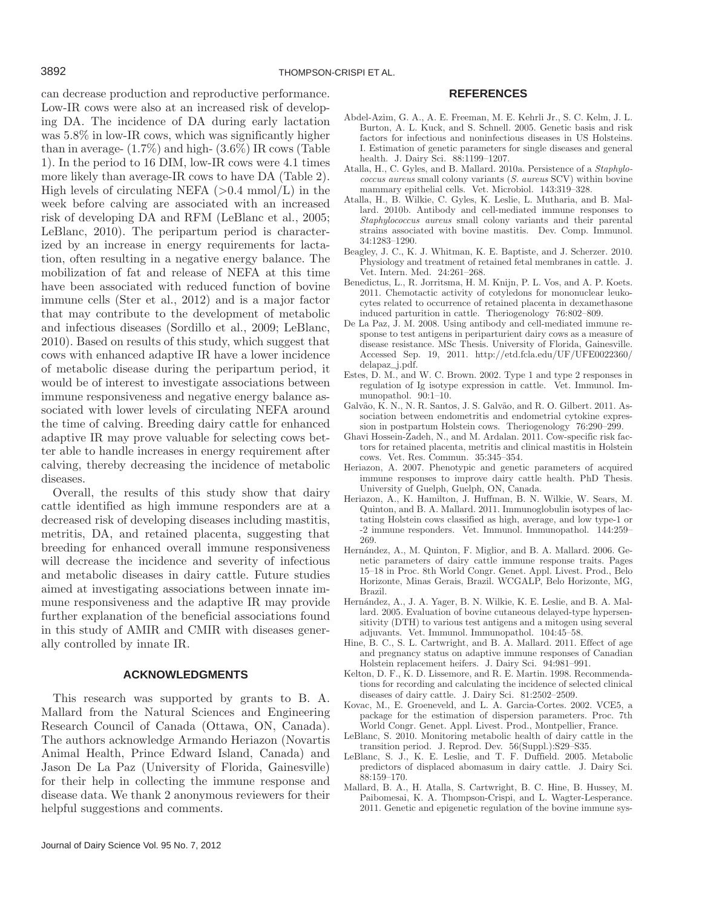can decrease production and reproductive performance. Low-IR cows were also at an increased risk of developing DA. The incidence of DA during early lactation was 5.8% in low-IR cows, which was significantly higher than in average-  $(1.7\%)$  and high-  $(3.6\%)$  IR cows (Table 1). In the period to 16 DIM, low-IR cows were 4.1 times more likely than average-IR cows to have DA (Table 2). High levels of circulating NEFA  $(>0.4 \text{ mmol/L})$  in the week before calving are associated with an increased risk of developing DA and RFM (LeBlanc et al., 2005; LeBlanc, 2010). The peripartum period is characterized by an increase in energy requirements for lactation, often resulting in a negative energy balance. The mobilization of fat and release of NEFA at this time have been associated with reduced function of bovine immune cells (Ster et al., 2012) and is a major factor that may contribute to the development of metabolic and infectious diseases (Sordillo et al., 2009; LeBlanc, 2010). Based on results of this study, which suggest that cows with enhanced adaptive IR have a lower incidence of metabolic disease during the peripartum period, it would be of interest to investigate associations between immune responsiveness and negative energy balance associated with lower levels of circulating NEFA around the time of calving. Breeding dairy cattle for enhanced adaptive IR may prove valuable for selecting cows better able to handle increases in energy requirement after calving, thereby decreasing the incidence of metabolic diseases.

Overall, the results of this study show that dairy cattle identified as high immune responders are at a decreased risk of developing diseases including mastitis, metritis, DA, and retained placenta, suggesting that breeding for enhanced overall immune responsiveness will decrease the incidence and severity of infectious and metabolic diseases in dairy cattle. Future studies aimed at investigating associations between innate immune responsiveness and the adaptive IR may provide further explanation of the beneficial associations found in this study of AMIR and CMIR with diseases generally controlled by innate IR.

#### **ACKNOWLEDGMENTS**

This research was supported by grants to B. A. Mallard from the Natural Sciences and Engineering Research Council of Canada (Ottawa, ON, Canada). The authors acknowledge Armando Heriazon (Novartis Animal Health, Prince Edward Island, Canada) and Jason De La Paz (University of Florida, Gainesville) for their help in collecting the immune response and disease data. We thank 2 anonymous reviewers for their helpful suggestions and comments.

#### **REFERENCES**

- Abdel-Azim, G. A., A. E. Freeman, M. E. Kehrli Jr., S. C. Kelm, J. L. Burton, A. L. Kuck, and S. Schnell. 2005. Genetic basis and risk factors for infectious and noninfectious diseases in US Holsteins. I. Estimation of genetic parameters for single diseases and general health. J. Dairy Sci. 88:1199–1207.
- Atalla, H., C. Gyles, and B. Mallard. 2010a. Persistence of a *Staphylococcus aureus* small colony variants (*S. aureus* SCV) within bovine mammary epithelial cells. Vet. Microbiol. 143:319–328.
- Atalla, H., B. Wilkie, C. Gyles, K. Leslie, L. Mutharia, and B. Mallard. 2010b. Antibody and cell-mediated immune responses to *Staphylococcus aureus* small colony variants and their parental strains associated with bovine mastitis. Dev. Comp. Immunol. 34:1283–1290.
- Beagley, J. C., K. J. Whitman, K. E. Baptiste, and J. Scherzer. 2010. Physiology and treatment of retained fetal membranes in cattle. J. Vet. Intern. Med. 24:261–268.
- Benedictus, L., R. Jorritsma, H. M. Knijn, P. L. Vos, and A. P. Koets. 2011. Chemotactic activity of cotyledons for mononuclear leukocytes related to occurrence of retained placenta in dexamethasone induced parturition in cattle. Theriogenology 76:802–809.
- De La Paz, J. M. 2008. Using antibody and cell-mediated immune response to test antigens in periparturient dairy cows as a measure of disease resistance. MSc Thesis. University of Florida, Gainesville. Accessed Sep. 19, 2011. http://etd.fcla.edu/UF/UFE0022360/ delapaz\_j.pdf.
- Estes, D. M., and W. C. Brown. 2002. Type 1 and type 2 responses in regulation of Ig isotype expression in cattle. Vet. Immunol. Immunopathol.  $90:1-10$ .
- Galvão, K. N., N. R. Santos, J. S. Galvão, and R. O. Gilbert. 2011. Association between endometritis and endometrial cytokine expression in postpartum Holstein cows. Theriogenology 76:290-299.
- Ghavi Hossein-Zadeh, N., and M. Ardalan. 2011. Cow-specific risk factors for retained placenta, metritis and clinical mastitis in Holstein cows. Vet. Res. Commun. 35:345–354.
- Heriazon, A. 2007. Phenotypic and genetic parameters of acquired immune responses to improve dairy cattle health. PhD Thesis. University of Guelph, Guelph, ON, Canada.
- Heriazon, A., K. Hamilton, J. Huffman, B. N. Wilkie, W. Sears, M. Quinton, and B. A. Mallard. 2011. Immunoglobulin isotypes of lactating Holstein cows classified as high, average, and low type-1 or -2 immune responders. Vet. Immunol. Immunopathol. 144:259– 269.
- Hernández, A., M. Quinton, F. Miglior, and B. A. Mallard. 2006. Genetic parameters of dairy cattle immune response traits. Pages 15–18 in Proc. 8th World Congr. Genet. Appl. Livest. Prod., Belo Horizonte, Minas Gerais, Brazil. WCGALP, Belo Horizonte, MG, Brazil.
- Hernández, A., J. A. Yager, B. N. Wilkie, K. E. Leslie, and B. A. Mallard. 2005. Evaluation of bovine cutaneous delayed-type hypersensitivity (DTH) to various test antigens and a mitogen using several adjuvants. Vet. Immunol. Immunopathol. 104:45–58.
- Hine, B. C., S. L. Cartwright, and B. A. Mallard. 2011. Effect of age and pregnancy status on adaptive immune responses of Canadian Holstein replacement heifers. J. Dairy Sci. 94:981–991.
- Kelton, D. F., K. D. Lissemore, and R. E. Martin. 1998. Recommendations for recording and calculating the incidence of selected clinical diseases of dairy cattle. J. Dairy Sci. 81:2502–2509.
- Kovac, M., E. Groeneveld, and L. A. Garcia-Cortes. 2002. VCE5, a package for the estimation of dispersion parameters. Proc. 7th World Congr. Genet. Appl. Livest. Prod., Montpellier, France.
- LeBlanc, S. 2010. Monitoring metabolic health of dairy cattle in the transition period. J. Reprod. Dev. 56(Suppl.):S29–S35.
- LeBlanc, S. J., K. E. Leslie, and T. F. Duffield. 2005. Metabolic predictors of displaced abomasum in dairy cattle. J. Dairy Sci. 88:159–170.
- Mallard, B. A., H. Atalla, S. Cartwright, B. C. Hine, B. Hussey, M. Paibomesai, K. A. Thompson-Crispi, and L. Wagter-Lesperance. 2011. Genetic and epigenetic regulation of the bovine immune sys-